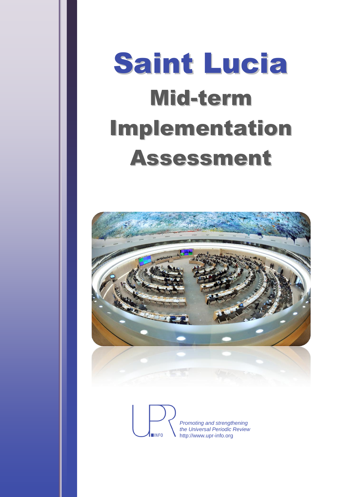# Saint Lucia Mid-term Implementation Assessment



*Promoting and strengthening the Universal Periodic Review* http://www.upr-info.org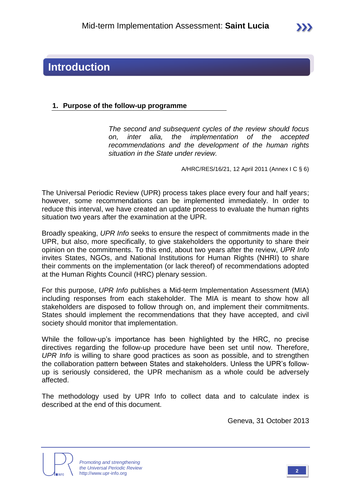## **Introduction**

#### **1. Purpose of the follow-up programme**

*The second and subsequent cycles of the review should focus on, inter alia, the implementation of the accepted recommendations and the development of the human rights situation in the State under review.*

A/HRC/RES/16/21, 12 April 2011 (Annex I C § 6)

The Universal Periodic Review (UPR) process takes place every four and half years; however, some recommendations can be implemented immediately. In order to reduce this interval, we have created an update process to evaluate the human rights situation two years after the examination at the UPR.

Broadly speaking, *UPR Info* seeks to ensure the respect of commitments made in the UPR, but also, more specifically, to give stakeholders the opportunity to share their opinion on the commitments. To this end, about two years after the review, *UPR Info* invites States, NGOs, and National Institutions for Human Rights (NHRI) to share their comments on the implementation (or lack thereof) of recommendations adopted at the Human Rights Council (HRC) plenary session.

For this purpose, *UPR Info* publishes a Mid-term Implementation Assessment (MIA) including responses from each stakeholder. The MIA is meant to show how all stakeholders are disposed to follow through on, and implement their commitments. States should implement the recommendations that they have accepted, and civil society should monitor that implementation.

While the follow-up's importance has been highlighted by the HRC, no precise directives regarding the follow-up procedure have been set until now. Therefore, *UPR Info* is willing to share good practices as soon as possible, and to strengthen the collaboration pattern between States and stakeholders. Unless the UPR's followup is seriously considered, the UPR mechanism as a whole could be adversely affected.

The methodology used by UPR Info to collect data and to calculate index is described at the end of this document.

Geneva, 31 October 2013



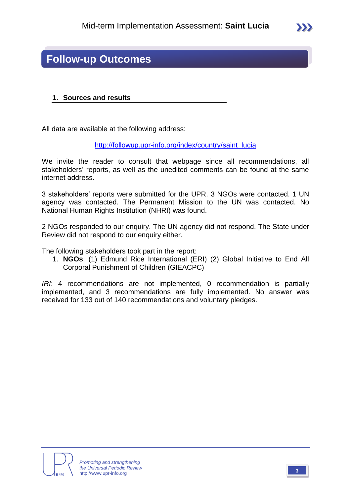

## **Follow-up Outcomes**

#### **1. Sources and results**

All data are available at the following address:

[http://followup.upr-info.org/index/country/saint\\_lucia](http://followup.upr-info.org/index/country/saint_lucia)

We invite the reader to consult that webpage since all recommendations, all stakeholders' reports, as well as the unedited comments can be found at the same internet address.

3 stakeholders' reports were submitted for the UPR. 3 NGOs were contacted. 1 UN agency was contacted. The Permanent Mission to the UN was contacted. No National Human Rights Institution (NHRI) was found.

2 NGOs responded to our enquiry. The UN agency did not respond. The State under Review did not respond to our enquiry either.

The following stakeholders took part in the report:

1. **NGOs**: (1) Edmund Rice International (ERI) (2) Global Initiative to End All Corporal Punishment of Children (GIEACPC)

*IRI*: 4 recommendations are not implemented, 0 recommendation is partially implemented, and 3 recommendations are fully implemented. No answer was received for 133 out of 140 recommendations and voluntary pledges.



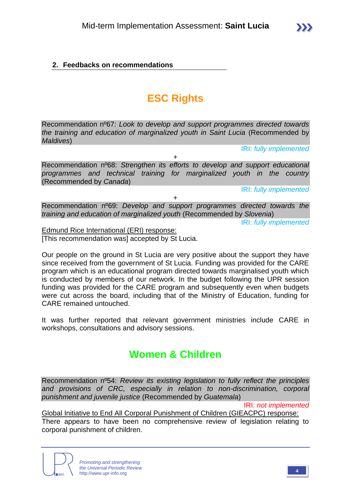#### **2. Feedbacks on recommendations**

## **ESC Rights**

Recommendation nº67: *Look to develop and support programmes directed towards the training and education of marginalized youth in Saint Lucia* (Recommended by *Maldives*)

IRI: *fully implemented*

Recommendation nº68: *Strengthen its efforts to develop and support educational programmes and technical training for marginalized youth in the country*  (Recommended by *Canada*)

+

IRI: *fully implemented*

Recommendation nº69: *Develop and support programmes directed towards the training and education of marginalized youth* (Recommended by *Slovenia*)

+

IRI: *fully implemented*

Edmund Rice International (ERI) response: [This recommendation was] accepted by  $St$  Lucia.

Our people on the ground in St Lucia are very positive about the support they have since received from the government of St Lucia. Funding was provided for the CARE program which is an educational program directed towards marginalised youth which is conducted by members of our network. In the budget following the UPR session funding was provided for the CARE program and subsequently even when budgets were cut across the board, including that of the Ministry of Education, funding for CARE remained untouched.

It was further reported that relevant government ministries include CARE in workshops, consultations and advisory sessions.

## **Women & Children**

Recommendation nº54: *Review its existing legislation to fully reflect the principles and provisions of CRC, especially in relation to non-discrimination, corporal punishment and juvenile justice* (Recommended by *Guatemala*)

IRI: *not implemented*

Global Initiative to End All Corporal Punishment of Children (GIEACPC) response: There appears to have been no comprehensive review of legislation relating to corporal punishment of children.

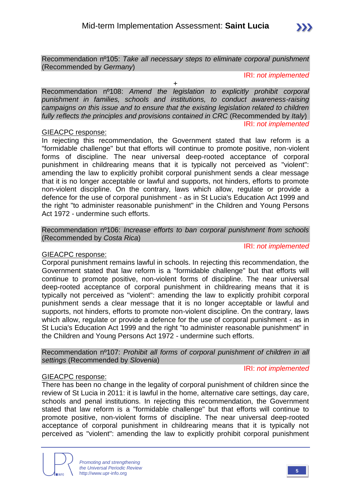

+

IRI: *not implemented*

Recommendation nº108: *Amend the legislation to explicitly prohibit corporal punishment in families, schools and institutions, to conduct awareness-raising campaigns on this issue and to ensure that the existing legislation related to children fully reflects the principles and provisions contained in CRC* (Recommended by *Italy*) IRI: *not implemented*

#### GIEACPC response:

In rejecting this recommendation, the Government stated that law reform is a "formidable challenge" but that efforts will continue to promote positive, non-violent forms of discipline. The near universal deep-rooted acceptance of corporal punishment in childrearing means that it is typically not perceived as "violent": amending the law to explicitly prohibit corporal punishment sends a clear message that it is no longer acceptable or lawful and supports, not hinders, efforts to promote non-violent discipline. On the contrary, laws which allow, regulate or provide a defence for the use of corporal punishment - as in St Lucia's Education Act 1999 and the right "to administer reasonable punishment" in the Children and Young Persons Act 1972 - undermine such efforts.

Recommendation nº106: *Increase efforts to ban corporal punishment from schools*  (Recommended by *Costa Rica*)

#### GIEACPC response:

Corporal punishment remains lawful in schools. In rejecting this recommendation, the Government stated that law reform is a "formidable challenge" but that efforts will continue to promote positive, non-violent forms of discipline. The near universal deep-rooted acceptance of corporal punishment in childrearing means that it is typically not perceived as "violent": amending the law to explicitly prohibit corporal punishment sends a clear message that it is no longer acceptable or lawful and supports, not hinders, efforts to promote non-violent discipline. On the contrary, laws which allow, regulate or provide a defence for the use of corporal punishment - as in St Lucia's Education Act 1999 and the right "to administer reasonable punishment" in the Children and Young Persons Act 1972 - undermine such efforts.

Recommendation nº107: *Prohibit all forms of corporal punishment of children in all settings* (Recommended by *Slovenia*)

#### IRI: *not implemented*

IRI: *not implemented*

#### GIEACPC response:

There has been no change in the legality of corporal punishment of children since the review of St Lucia in 2011: it is lawful in the home, alternative care settings, day care, schools and penal institutions. In rejecting this recommendation, the Government stated that law reform is a "formidable challenge" but that efforts will continue to promote positive, non-violent forms of discipline. The near universal deep-rooted acceptance of corporal punishment in childrearing means that it is typically not perceived as "violent": amending the law to explicitly prohibit corporal punishment

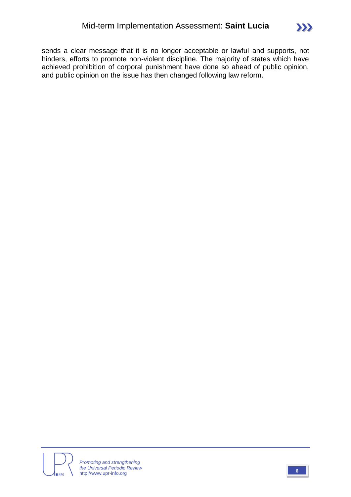sends a clear message that it is no longer acceptable or lawful and supports, not hinders, efforts to promote non-violent discipline. The majority of states which have achieved prohibition of corporal punishment have done so ahead of public opinion, and public opinion on the issue has then changed following law reform.



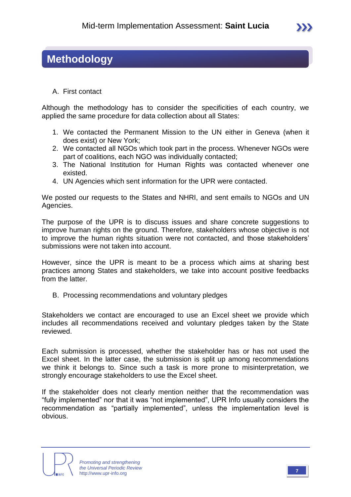## **Methodology**

A. First contact

Although the methodology has to consider the specificities of each country, we applied the same procedure for data collection about all States:

- 1. We contacted the Permanent Mission to the UN either in Geneva (when it does exist) or New York;
- 2. We contacted all NGOs which took part in the process. Whenever NGOs were part of coalitions, each NGO was individually contacted;
- 3. The National Institution for Human Rights was contacted whenever one existed.
- 4. UN Agencies which sent information for the UPR were contacted.

We posted our requests to the States and NHRI, and sent emails to NGOs and UN Agencies.

The purpose of the UPR is to discuss issues and share concrete suggestions to improve human rights on the ground. Therefore, stakeholders whose objective is not to improve the human rights situation were not contacted, and those stakeholders' submissions were not taken into account.

However, since the UPR is meant to be a process which aims at sharing best practices among States and stakeholders, we take into account positive feedbacks from the latter.

B. Processing recommendations and voluntary pledges

Stakeholders we contact are encouraged to use an Excel sheet we provide which includes all recommendations received and voluntary pledges taken by the State reviewed.

Each submission is processed, whether the stakeholder has or has not used the Excel sheet. In the latter case, the submission is split up among recommendations we think it belongs to. Since such a task is more prone to misinterpretation, we strongly encourage stakeholders to use the Excel sheet.

If the stakeholder does not clearly mention neither that the recommendation was "fully implemented" nor that it was "not implemented", UPR Info usually considers the recommendation as "partially implemented", unless the implementation level is obvious.

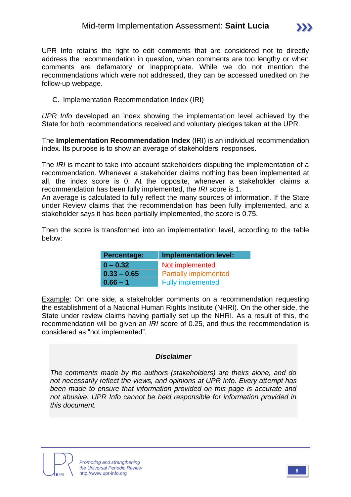

UPR Info retains the right to edit comments that are considered not to directly address the recommendation in question, when comments are too lengthy or when comments are defamatory or inappropriate. While we do not mention the recommendations which were not addressed, they can be accessed unedited on the follow-up webpage.

C. Implementation Recommendation Index (IRI)

*UPR Info* developed an index showing the implementation level achieved by the State for both recommendations received and voluntary pledges taken at the UPR.

The **Implementation Recommendation Index** (IRI) is an individual recommendation index. Its purpose is to show an average of stakeholders' responses.

The *IRI* is meant to take into account stakeholders disputing the implementation of a recommendation. Whenever a stakeholder claims nothing has been implemented at all, the index score is 0. At the opposite, whenever a stakeholder claims a recommendation has been fully implemented, the *IRI* score is 1.

An average is calculated to fully reflect the many sources of information. If the State under Review claims that the recommendation has been fully implemented, and a stakeholder says it has been partially implemented, the score is 0.75.

Then the score is transformed into an implementation level, according to the table below:

| <b>Percentage:</b> | <b>Implementation level:</b> |
|--------------------|------------------------------|
| $0 - 0.32$         | Not implemented              |
| $0.33 - 0.65$      | <b>Partially implemented</b> |
| $0.66 - 1$         | <b>Fully implemented</b>     |

Example: On one side, a stakeholder comments on a recommendation requesting the establishment of a National Human Rights Institute (NHRI). On the other side, the State under review claims having partially set up the NHRI. As a result of this, the recommendation will be given an *IRI* score of 0.25, and thus the recommendation is considered as "not implemented".

#### *Disclaimer*

*The comments made by the authors (stakeholders) are theirs alone, and do not necessarily reflect the views, and opinions at UPR Info. Every attempt has been made to ensure that information provided on this page is accurate and not abusive. UPR Info cannot be held responsible for information provided in this document.*